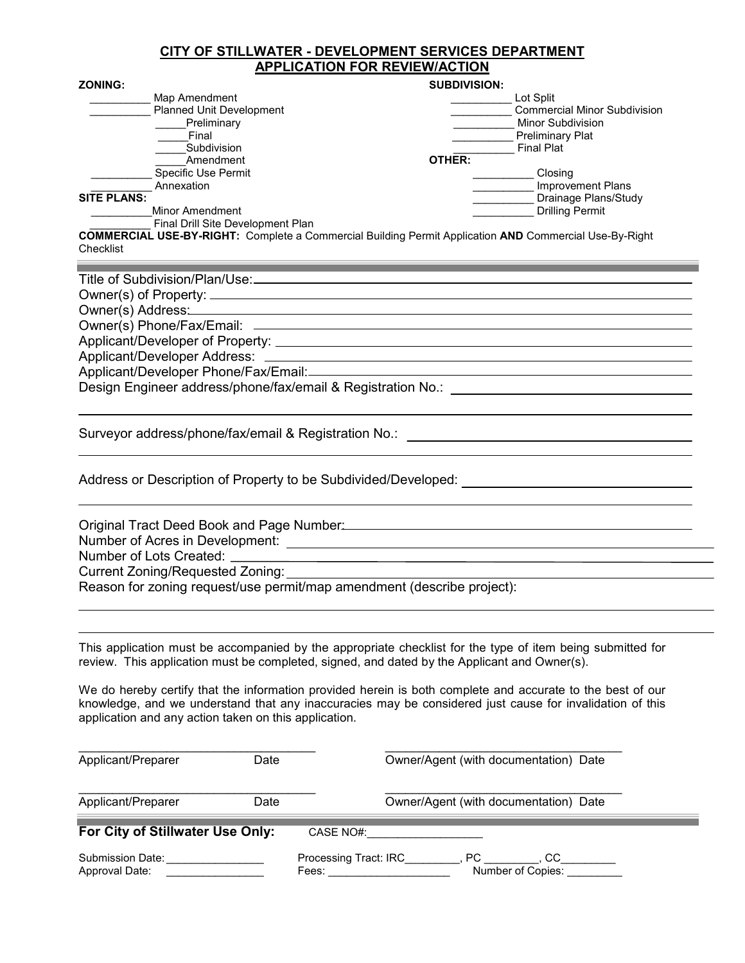## CITY OF STILLWATER - DEVELOPMENT SERVICES DEPARTMENT APPLICATION FOR REVIEW/ACTION

| <b>ZONING:</b>     |                                                                                         | <b>SUBDIVISION:</b>            |                                                                                     |
|--------------------|-----------------------------------------------------------------------------------------|--------------------------------|-------------------------------------------------------------------------------------|
|                    | Map Amendment<br><b>Planned Unit Development</b><br>Preliminary<br>Final<br>Subdivision | Lot Split<br><b>Final Plat</b> | <b>Commercial Minor Subdivision</b><br>Minor Subdivision<br><b>Preliminary Plat</b> |
| <b>SITE PLANS:</b> | Amendment<br>Specific Use Permit<br>Annexation                                          | OTHER:                         | Closing<br>Improvement Plans<br>Drainage Plans/Study                                |
|                    | Minor Amendment<br>Final Drill Site Development Plan                                    |                                | <b>Drilling Permit</b>                                                              |

COMMERCIAL USE-BY-RIGHT: Complete a Commercial Building Permit Application AND Commercial Use-By-Right Checklist

| Title of Subdivision/Plan/Use:                              |
|-------------------------------------------------------------|
|                                                             |
| Owner(s) Address: 2000                                      |
|                                                             |
|                                                             |
|                                                             |
| Applicant/Developer Phone/Fax/Email:                        |
| Design Engineer address/phone/fax/email & Registration No.: |
|                                                             |

Surveyor address/phone/fax/email & Registration No.: \\ \\connection \\connection \\connection \\connection \\co

 $\equiv$ 

Address or Description of Property to be Subdivided/Developed: \_\_\_\_\_\_\_\_\_\_\_\_\_\_\_\_\_\_

| Original Tract Deed Book and Page Number:                              |  |
|------------------------------------------------------------------------|--|
| Number of Acres in Development:                                        |  |
| Number of Lots Created: __                                             |  |
| Current Zoning/Requested Zoning:                                       |  |
| Reason for zoning request/use permit/map amendment (describe project): |  |

This application must be accompanied by the appropriate checklist for the type of item being submitted for review. This application must be completed, signed, and dated by the Applicant and Owner(s).

We do hereby certify that the information provided herein is both complete and accurate to the best of our knowledge, and we understand that any inaccuracies may be considered just cause for invalidation of this application and any action taken on this application.

| Applicant/Preparer                 | Date | Owner/Agent (with documentation) Date                                                                                                                                                                                                                                                       |
|------------------------------------|------|---------------------------------------------------------------------------------------------------------------------------------------------------------------------------------------------------------------------------------------------------------------------------------------------|
| Applicant/Preparer                 | Date | Owner/Agent (with documentation) Date                                                                                                                                                                                                                                                       |
| For City of Stillwater Use Only:   |      | CASE NO#:                                                                                                                                                                                                                                                                                   |
| Submission Date:<br>Approval Date: |      | Processing Tract: IRC<br>PC and the set of the set of the set of the set of the set of the set of the set of the set of the set of the set of the set of the set of the set of the set of the set of the set of the set of the set of the set of the se<br>CC<br>Number of Copies:<br>Fees: |